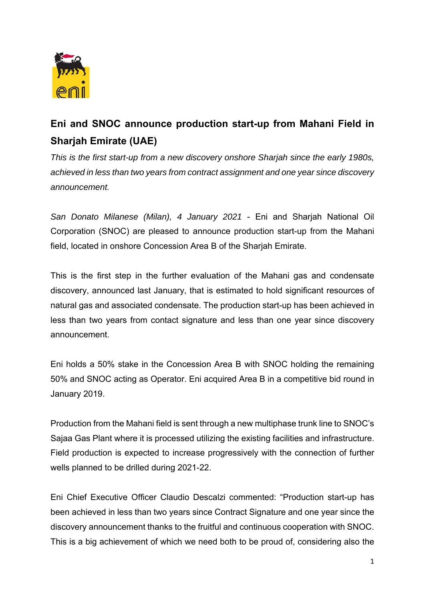

## **Eni and SNOC announce production start-up from Mahani Field in Sharjah Emirate (UAE)**

*This is the first start-up from a new discovery onshore Sharjah since the early 1980s, achieved in less than two years from contract assignment and one year since discovery announcement.* 

*San Donato Milanese (Milan), 4 January 2021* - Eni and Sharjah National Oil Corporation (SNOC) are pleased to announce production start-up from the Mahani field, located in onshore Concession Area B of the Sharjah Emirate.

This is the first step in the further evaluation of the Mahani gas and condensate discovery, announced last January, that is estimated to hold significant resources of natural gas and associated condensate. The production start-up has been achieved in less than two years from contact signature and less than one year since discovery announcement.

Eni holds a 50% stake in the Concession Area B with SNOC holding the remaining 50% and SNOC acting as Operator. Eni acquired Area B in a competitive bid round in January 2019.

Production from the Mahani field is sent through a new multiphase trunk line to SNOC's Sajaa Gas Plant where it is processed utilizing the existing facilities and infrastructure. Field production is expected to increase progressively with the connection of further wells planned to be drilled during 2021-22.

Eni Chief Executive Officer Claudio Descalzi commented: "Production start-up has been achieved in less than two years since Contract Signature and one year since the discovery announcement thanks to the fruitful and continuous cooperation with SNOC. This is a big achievement of which we need both to be proud of, considering also the